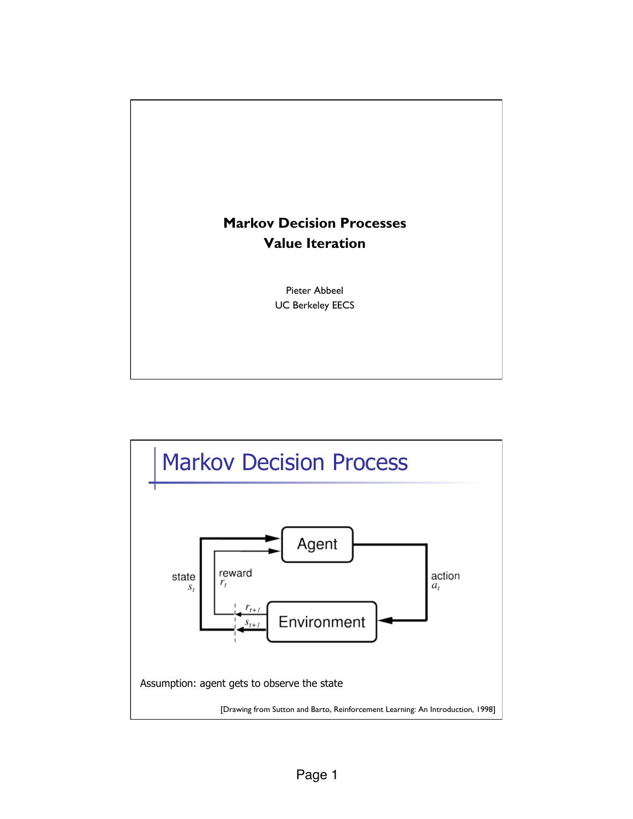

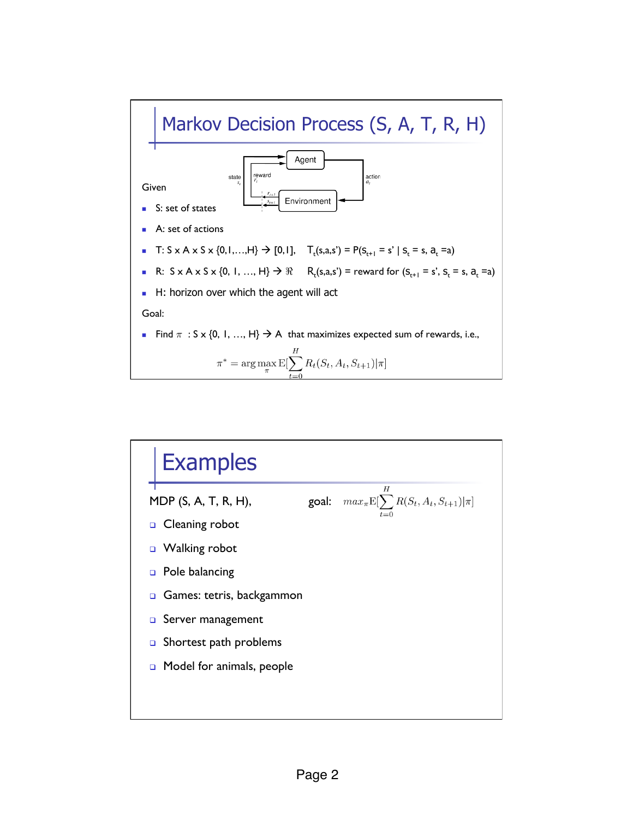

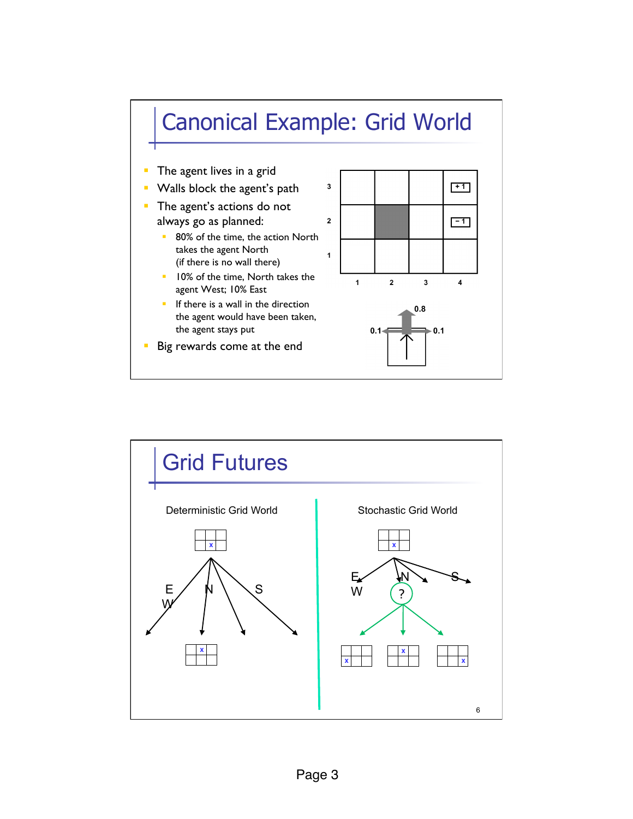

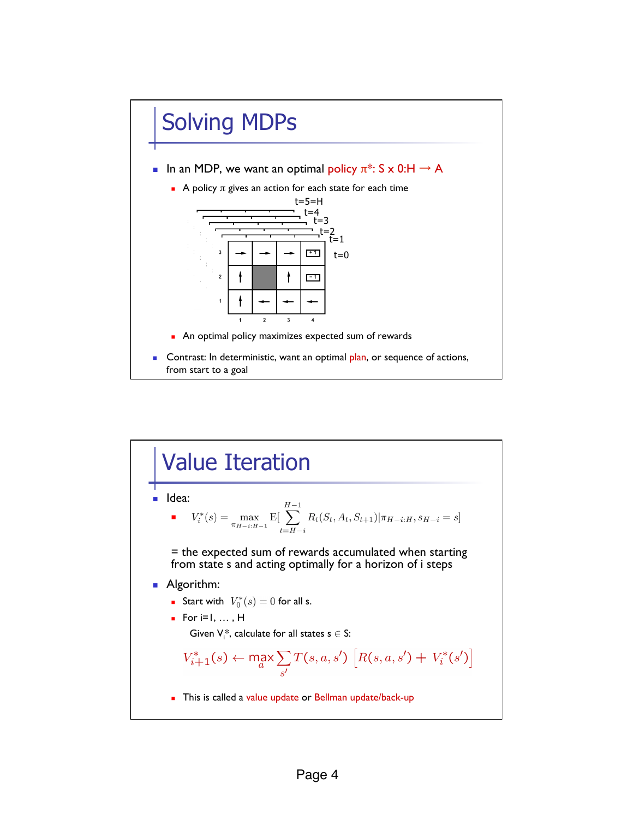

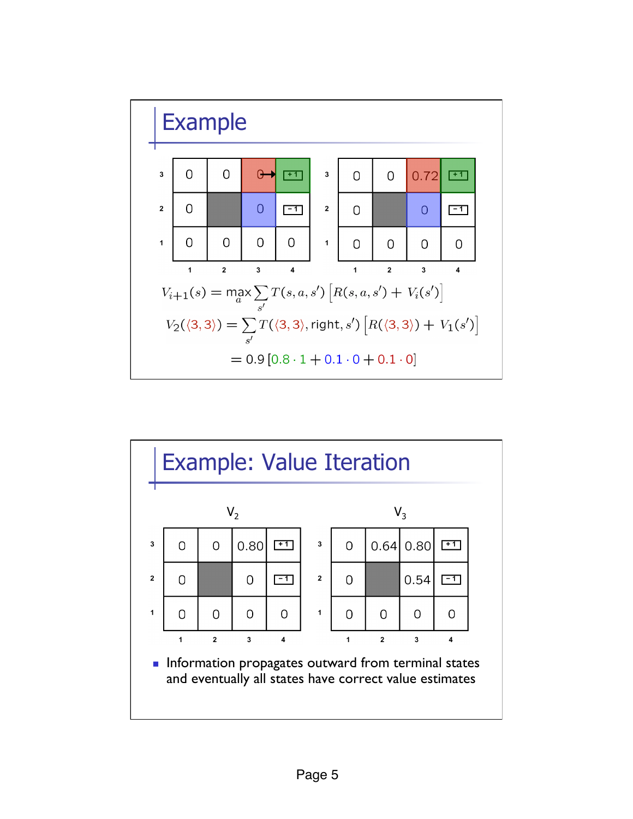